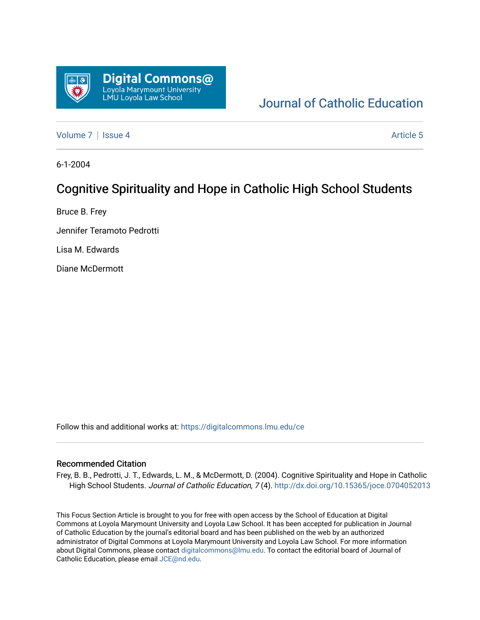

# [Journal of Catholic Education](https://digitalcommons.lmu.edu/ce)

[Volume 7](https://digitalcommons.lmu.edu/ce/vol7) | [Issue 4](https://digitalcommons.lmu.edu/ce/vol7/iss4) Article 5

6-1-2004

# Cognitive Spirituality and Hope in Catholic High School Students

Bruce B. Frey

Jennifer Teramoto Pedrotti

Lisa M. Edwards

Diane McDermott

Follow this and additional works at: [https://digitalcommons.lmu.edu/ce](https://digitalcommons.lmu.edu/ce?utm_source=digitalcommons.lmu.edu%2Fce%2Fvol7%2Fiss4%2F5&utm_medium=PDF&utm_campaign=PDFCoverPages)

#### Recommended Citation

Frey, B. B., Pedrotti, J. T., Edwards, L. M., & McDermott, D. (2004). Cognitive Spirituality and Hope in Catholic High School Students. Journal of Catholic Education, 7(4).<http://dx.doi.org/10.15365/joce.0704052013>

This Focus Section Article is brought to you for free with open access by the School of Education at Digital Commons at Loyola Marymount University and Loyola Law School. It has been accepted for publication in Journal of Catholic Education by the journal's editorial board and has been published on the web by an authorized administrator of Digital Commons at Loyola Marymount University and Loyola Law School. For more information about Digital Commons, please contact [digitalcommons@lmu.edu](mailto:digitalcommons@lmu.edu). To contact the editorial board of Journal of Catholic Education, please email [JCE@nd.edu.](mailto:JCE@nd.edu)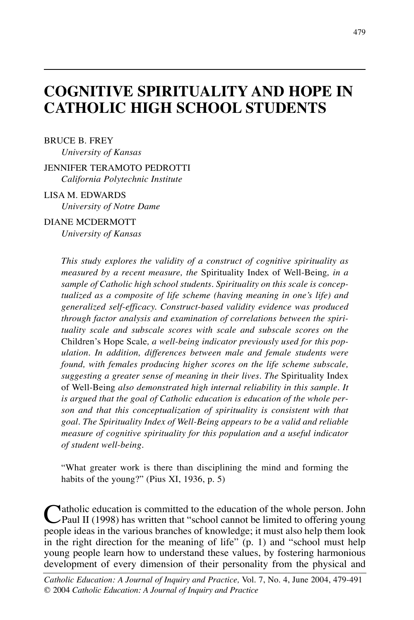# **COGNITIVE SPIRITUALITY AND HOPE IN CATHOLIC HIGH SCHOOL STUDENTS**

#### BRUCE B. FREY

*University of Kansas*

#### JENNIFER TERAMOTO PEDROTTI *California Polytechnic Institute*

### LISA M. EDWARDS

*University of Notre Dame*

#### DIANE MCDERMOTT

*University of Kansas*

*This study explores the validity of a construct of cognitive spirituality as measured by a recent measure, the* Spirituality Index of Well-Being*, in a sample of Catholic high school students. Spirituality on this scale is conceptualized as a composite of life scheme (having meaning in one's life) and generalized self-efficacy. Construct-based validity evidence was produced through factor analysis and examination of correlations between the spirituality scale and subscale scores with scale and subscale scores on the* Children's Hope Scale*, a well-being indicator previously used for this population. In addition, differences between male and female students were found, with females producing higher scores on the life scheme subscale, suggesting a greater sense of meaning in their lives. The* Spirituality Index of Well-Being *also demonstrated high internal reliability in this sample. It is argued that the goal of Catholic education is education of the whole person and that this conceptualization of spirituality is consistent with that goal. The Spirituality Index of Well-Being appears to be a valid and reliable measure of cognitive spirituality for this population and a useful indicator of student well-being.*

"What greater work is there than disciplining the mind and forming the habits of the young?" (Pius XI, 1936, p. 5)

Catholic education is committed to the education of the whole person. John<br>Paul II (1998) has written that "school cannot be limited to offering young<br>needs idea in the main benefits of has whole be a help than leak people ideas in the various branches of knowledge; it must also help them look in the right direction for the meaning of life"  $(p, 1)$  and "school must help young people learn how to understand these values, by fostering harmonious development of every dimension of their personality from the physical and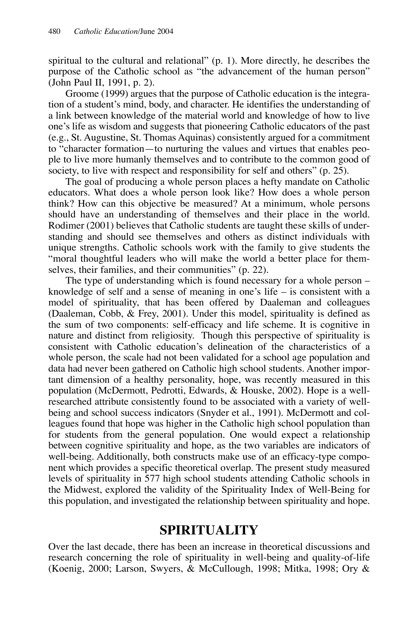spiritual to the cultural and relational" (p. 1). More directly, he describes the purpose of the Catholic school as "the advancement of the human person" (John Paul II, 1991, p. 2).

Groome (1999) argues that the purpose of Catholic education is the integration of a student's mind, body, and character. He identifies the understanding of a link between knowledge of the material world and knowledge of how to live one's life as wisdom and suggests that pioneering Catholic educators of the past (e.g., St. Augustine, St. Thomas Aquinas) consistently argued for a commitment to "character formation—to nurturing the values and virtues that enables people to live more humanly themselves and to contribute to the common good of society, to live with respect and responsibility for self and others" (p. 25).

The goal of producing a whole person places a hefty mandate on Catholic educators. What does a whole person look like? How does a whole person think? How can this objective be measured? At a minimum, whole persons should have an understanding of themselves and their place in the world. Rodimer (2001) believes that Catholic students are taught these skills of understanding and should see themselves and others as distinct individuals with unique strengths. Catholic schools work with the family to give students the "moral thoughtful leaders who will make the world a better place for themselves, their families, and their communities" (p. 22).

The type of understanding which is found necessary for a whole person – knowledge of self and a sense of meaning in one's life – is consistent with a model of spirituality, that has been offered by Daaleman and colleagues (Daaleman, Cobb, & Frey, 2001). Under this model, spirituality is defined as the sum of two components: self-efficacy and life scheme. It is cognitive in nature and distinct from religiosity. Though this perspective of spirituality is consistent with Catholic education's delineation of the characteristics of a whole person, the scale had not been validated for a school age population and data had never been gathered on Catholic high school students. Another important dimension of a healthy personality, hope, was recently measured in this population (McDermott, Pedrotti, Edwards, & Houske, 2002). Hope is a wellresearched attribute consistently found to be associated with a variety of wellbeing and school success indicators (Snyder et al., 1991). McDermott and colleagues found that hope was higher in the Catholic high school population than for students from the general population. One would expect a relationship between cognitive spirituality and hope, as the two variables are indicators of well-being. Additionally, both constructs make use of an efficacy-type component which provides a specific theoretical overlap. The present study measured levels of spirituality in 577 high school students attending Catholic schools in the Midwest, explored the validity of the Spirituality Index of Well-Being for this population, and investigated the relationship between spirituality and hope.

## **SPIRITUALITY**

Over the last decade, there has been an increase in theoretical discussions and research concerning the role of spirituality in well-being and quality-of-life (Koenig, 2000; Larson, Swyers, & McCullough, 1998; Mitka, 1998; Ory &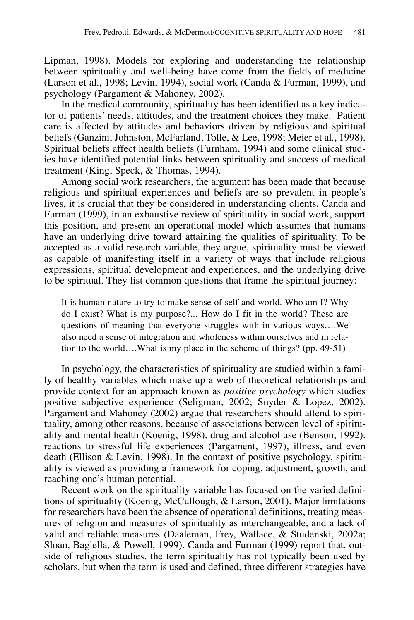Lipman, 1998). Models for exploring and understanding the relationship between spirituality and well-being have come from the fields of medicine (Larson et al., 1998; Levin, 1994), social work (Canda & Furman, 1999), and psychology (Pargament & Mahoney, 2002).

In the medical community, spirituality has been identified as a key indicator of patients' needs, attitudes, and the treatment choices they make. Patient care is affected by attitudes and behaviors driven by religious and spiritual beliefs (Ganzini, Johnston, McFarland, Tolle, & Lee, 1998; Meier et al., 1998). Spiritual beliefs affect health beliefs (Furnham, 1994) and some clinical studies have identified potential links between spirituality and success of medical treatment (King, Speck, & Thomas, 1994).

Among social work researchers, the argument has been made that because religious and spiritual experiences and beliefs are so prevalent in people's lives, it is crucial that they be considered in understanding clients. Canda and Furman (1999), in an exhaustive review of spirituality in social work, support this position, and present an operational model which assumes that humans have an underlying drive toward attaining the qualities of spirituality. To be accepted as a valid research variable, they argue, spirituality must be viewed as capable of manifesting itself in a variety of ways that include religious expressions, spiritual development and experiences, and the underlying drive to be spiritual. They list common questions that frame the spiritual journey:

It is human nature to try to make sense of self and world. Who am I? Why do I exist? What is my purpose?... How do I fit in the world? These are questions of meaning that everyone struggles with in various ways….We also need a sense of integration and wholeness within ourselves and in relation to the world….What is my place in the scheme of things? (pp. 49-51)

In psychology, the characteristics of spirituality are studied within a family of healthy variables which make up a web of theoretical relationships and provide context for an approach known as *positive psychology* which studies positive subjective experience (Seligman, 2002; Snyder & Lopez, 2002). Pargament and Mahoney (2002) argue that researchers should attend to spirituality, among other reasons, because of associations between level of spirituality and mental health (Koenig, 1998), drug and alcohol use (Benson, 1992), reactions to stressful life experiences (Pargament, 1997), illness, and even death (Ellison & Levin, 1998). In the context of positive psychology, spirituality is viewed as providing a framework for coping, adjustment, growth, and reaching one's human potential.

Recent work on the spirituality variable has focused on the varied definitions of spirituality (Koenig, McCullough, & Larson, 2001). Major limitations for researchers have been the absence of operational definitions, treating measures of religion and measures of spirituality as interchangeable, and a lack of valid and reliable measures (Daaleman, Frey, Wallace, & Studenski, 2002a; Sloan, Bagiella, & Powell, 1999). Canda and Furman (1999) report that, outside of religious studies, the term spirituality has not typically been used by scholars, but when the term is used and defined, three different strategies have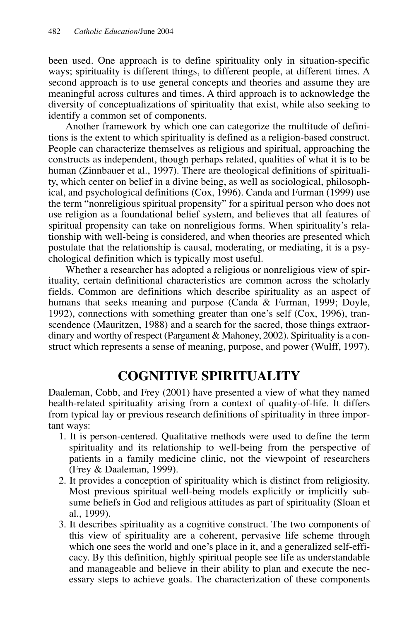been used. One approach is to define spirituality only in situation-specific ways; spirituality is different things, to different people, at different times. A second approach is to use general concepts and theories and assume they are meaningful across cultures and times. A third approach is to acknowledge the diversity of conceptualizations of spirituality that exist, while also seeking to identify a common set of components.

Another framework by which one can categorize the multitude of definitions is the extent to which spirituality is defined as a religion-based construct. People can characterize themselves as religious and spiritual, approaching the constructs as independent, though perhaps related, qualities of what it is to be human (Zinnbauer et al., 1997). There are theological definitions of spirituality, which center on belief in a divine being, as well as sociological, philosophical, and psychological definitions (Cox, 1996). Canda and Furman (1999) use the term "nonreligious spiritual propensity" for a spiritual person who does not use religion as a foundational belief system, and believes that all features of spiritual propensity can take on nonreligious forms. When spirituality's relationship with well-being is considered, and when theories are presented which postulate that the relationship is causal, moderating, or mediating, it is a psychological definition which is typically most useful.

Whether a researcher has adopted a religious or nonreligious view of spirituality, certain definitional characteristics are common across the scholarly fields. Common are definitions which describe spirituality as an aspect of humans that seeks meaning and purpose (Canda & Furman, 1999; Doyle, 1992), connections with something greater than one's self (Cox, 1996), transcendence (Mauritzen, 1988) and a search for the sacred, those things extraordinary and worthy of respect (Pargament & Mahoney, 2002). Spirituality is a construct which represents a sense of meaning, purpose, and power (Wulff, 1997).

# **COGNITIVE SPIRITUALITY**

Daaleman, Cobb, and Frey (2001) have presented a view of what they named health-related spirituality arising from a context of quality-of-life. It differs from typical lay or previous research definitions of spirituality in three important ways:

- 1. It is person-centered. Qualitative methods were used to define the term spirituality and its relationship to well-being from the perspective of patients in a family medicine clinic, not the viewpoint of researchers (Frey & Daaleman, 1999).
- 2. It provides a conception of spirituality which is distinct from religiosity. Most previous spiritual well-being models explicitly or implicitly subsume beliefs in God and religious attitudes as part of spirituality (Sloan et al., 1999).
- 3. It describes spirituality as a cognitive construct. The two components of this view of spirituality are a coherent, pervasive life scheme through which one sees the world and one's place in it, and a generalized self-efficacy. By this definition, highly spiritual people see life as understandable and manageable and believe in their ability to plan and execute the necessary steps to achieve goals. The characterization of these components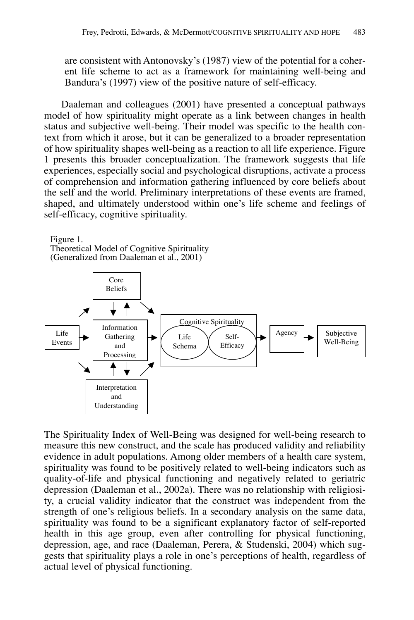are consistent with Antonovsky's (1987) view of the potential for a coherent life scheme to act as a framework for maintaining well-being and Bandura's (1997) view of the positive nature of self-efficacy.

Daaleman and colleagues (2001) have presented a conceptual pathways model of how spirituality might operate as a link between changes in health status and subjective well-being. Their model was specific to the health context from which it arose, but it can be generalized to a broader representation of how spirituality shapes well-being as a reaction to all life experience. Figure 1 presents this broader conceptualization. The framework suggests that life experiences, especially social and psychological disruptions, activate a process of comprehension and information gathering influenced by core beliefs about the self and the world. Preliminary interpretations of these events are framed, shaped, and ultimately understood within one's life scheme and feelings of self-efficacy, cognitive spirituality.

Figure 1.

Theoretical Model of Cognitive Spirituality (Generalized from Daaleman et al., 2001)



The Spirituality Index of Well-Being was designed for well-being research to measure this new construct, and the scale has produced validity and reliability evidence in adult populations. Among older members of a health care system, spirituality was found to be positively related to well-being indicators such as quality-of-life and physical functioning and negatively related to geriatric depression (Daaleman et al., 2002a). There was no relationship with religiosity, a crucial validity indicator that the construct was independent from the strength of one's religious beliefs. In a secondary analysis on the same data, spirituality was found to be a significant explanatory factor of self-reported health in this age group, even after controlling for physical functioning, depression, age, and race (Daaleman, Perera, & Studenski, 2004) which suggests that spirituality plays a role in one's perceptions of health, regardless of actual level of physical functioning.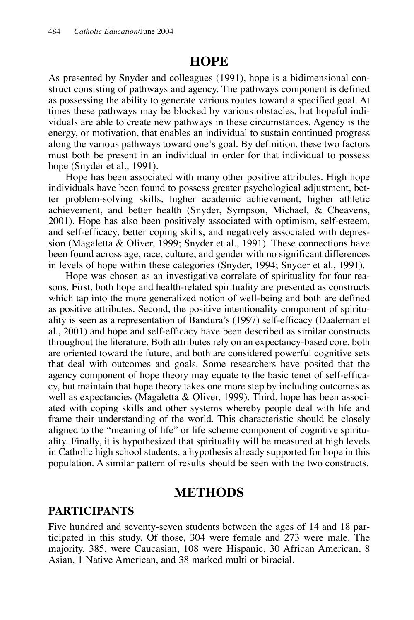## **HOPE**

As presented by Snyder and colleagues (1991), hope is a bidimensional construct consisting of pathways and agency. The pathways component is defined as possessing the ability to generate various routes toward a specified goal. At times these pathways may be blocked by various obstacles, but hopeful individuals are able to create new pathways in these circumstances. Agency is the energy, or motivation, that enables an individual to sustain continued progress along the various pathways toward one's goal. By definition, these two factors must both be present in an individual in order for that individual to possess hope (Snyder et al., 1991).

Hope has been associated with many other positive attributes. High hope individuals have been found to possess greater psychological adjustment, better problem-solving skills, higher academic achievement, higher athletic achievement, and better health (Snyder, Sympson, Michael, & Cheavens, 2001). Hope has also been positively associated with optimism, self-esteem, and self-efficacy, better coping skills, and negatively associated with depression (Magaletta & Oliver, 1999; Snyder et al., 1991). These connections have been found across age, race, culture, and gender with no significant differences in levels of hope within these categories (Snyder, 1994; Snyder et al., 1991).

Hope was chosen as an investigative correlate of spirituality for four reasons. First, both hope and health-related spirituality are presented as constructs which tap into the more generalized notion of well-being and both are defined as positive attributes. Second, the positive intentionality component of spirituality is seen as a representation of Bandura's (1997) self-efficacy (Daaleman et al., 2001) and hope and self-efficacy have been described as similar constructs throughout the literature. Both attributes rely on an expectancy-based core, both are oriented toward the future, and both are considered powerful cognitive sets that deal with outcomes and goals. Some researchers have posited that the agency component of hope theory may equate to the basic tenet of self-efficacy, but maintain that hope theory takes one more step by including outcomes as well as expectancies (Magaletta & Oliver, 1999). Third, hope has been associated with coping skills and other systems whereby people deal with life and frame their understanding of the world. This characteristic should be closely aligned to the "meaning of life" or life scheme component of cognitive spirituality. Finally, it is hypothesized that spirituality will be measured at high levels in Catholic high school students, a hypothesis already supported for hope in this population. A similar pattern of results should be seen with the two constructs.

### **METHODS**

#### **PARTICIPANTS**

Five hundred and seventy-seven students between the ages of 14 and 18 participated in this study. Of those, 304 were female and 273 were male. The majority, 385, were Caucasian, 108 were Hispanic, 30 African American, 8 Asian, 1 Native American, and 38 marked multi or biracial.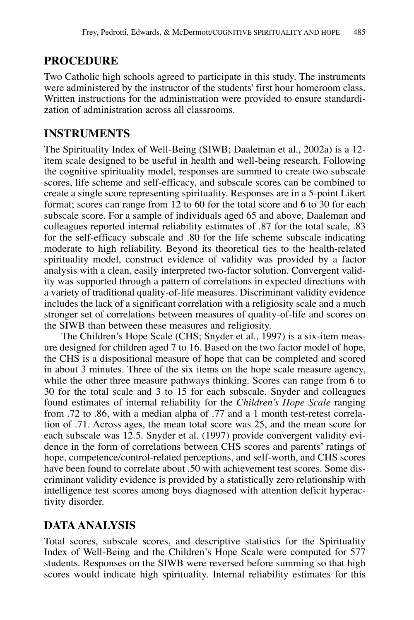### **PROCEDURE**

Two Catholic high schools agreed to participate in this study. The instruments were administered by the instructor of the students' first hour homeroom class. Written instructions for the administration were provided to ensure standardization of administration across all classrooms.

### **INSTRUMENTS**

The Spirituality Index of Well-Being (SIWB; Daaleman et al., 2002a) is a 12 item scale designed to be useful in health and well-being research. Following the cognitive spirituality model, responses are summed to create two subscale scores, life scheme and self-efficacy, and subscale scores can be combined to create a single score representing spirituality. Responses are in a 5-point Likert format; scores can range from 12 to 60 for the total score and 6 to 30 for each subscale score. For a sample of individuals aged 65 and above, Daaleman and colleagues reported internal reliability estimates of .87 for the total scale, .83 for the self-efficacy subscale and .80 for the life scheme subscale indicating moderate to high reliability. Beyond its theoretical ties to the health-related spirituality model, construct evidence of validity was provided by a factor analysis with a clean, easily interpreted two-factor solution. Convergent validity was supported through a pattern of correlations in expected directions with a variety of traditional quality-of-life measures. Discriminant validity evidence includes the lack of a significant correlation with a religiosity scale and a much stronger set of correlations between measures of quality-of-life and scores on the SIWB than between these measures and religiosity.

The Children's Hope Scale (CHS; Snyder et al., 1997) is a six-item measure designed for children aged 7 to 16. Based on the two factor model of hope, the CHS is a dispositional measure of hope that can be completed and scored in about 3 minutes. Three of the six items on the hope scale measure agency, while the other three measure pathways thinking. Scores can range from 6 to 30 for the total scale and 3 to 15 for each subscale. Snyder and colleagues found estimates of internal reliability for the *Children's Hope Scale* ranging from .72 to .86, with a median alpha of .77 and a 1 month test-retest correlation of .71. Across ages, the mean total score was 25, and the mean score for each subscale was 12.5. Snyder et al. (1997) provide convergent validity evidence in the form of correlations between CHS scores and parents' ratings of hope, competence/control-related perceptions, and self-worth, and CHS scores have been found to correlate about .50 with achievement test scores. Some discriminant validity evidence is provided by a statistically zero relationship with intelligence test scores among boys diagnosed with attention deficit hyperactivity disorder.

## **DATA ANALYSIS**

Total scores, subscale scores, and descriptive statistics for the Spirituality Index of Well-Being and the Children's Hope Scale were computed for 577 students. Responses on the SIWB were reversed before summing so that high scores would indicate high spirituality. Internal reliability estimates for this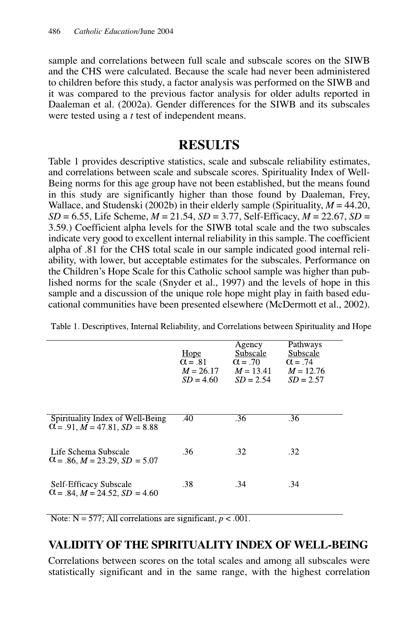sample and correlations between full scale and subscale scores on the SIWB and the CHS were calculated. Because the scale had never been administered to children before this study, a factor analysis was performed on the SIWB and it was compared to the previous factor analysis for older adults reported in Daaleman et al. (2002a). Gender differences for the SIWB and its subscales were tested using a *t* test of independent means.

# **RESULTS**

Table 1 provides descriptive statistics, scale and subscale reliability estimates, and correlations between scale and subscale scores. Spirituality Index of Well-Being norms for this age group have not been established, but the means found in this study are significantly higher than those found by Daaleman, Frey, Wallace, and Studenski (2002b) in their elderly sample (Spirituality,  $M = 44.20$ ,  $SD = 6.55$ , Life Scheme,  $M = 21.54$ ,  $SD = 3.77$ , Self-Efficacy,  $M = 22.67$ ,  $SD =$ 3.59.) Coefficient alpha levels for the SIWB total scale and the two subscales indicate very good to excellent internal reliability in this sample. The coefficient alpha of .81 for the CHS total scale in our sample indicated good internal reliability, with lower, but acceptable estimates for the subscales. Performance on the Children's Hope Scale for this Catholic school sample was higher than published norms for the scale (Snyder et al., 1997) and the levels of hope in this sample and a discussion of the unique role hope might play in faith based educational communities have been presented elsewhere (McDermott et al., 2002).

Table 1. Descriptives, Internal Reliability, and Correlations between Spirituality and Hope

|                                                                                     | Hope<br>$\alpha = .81$<br>$M = 26.17$<br>$SD = 4.60$ | Agency<br>Subscale<br>$\alpha$ = .70<br>$M = 13.41$<br>$SD = 2.54$ | Pathways<br>Subscale<br>$\alpha$ = .74<br>$M = 12.76$<br>$SD = 2.57$ |
|-------------------------------------------------------------------------------------|------------------------------------------------------|--------------------------------------------------------------------|----------------------------------------------------------------------|
| Spirituality Index of Well-Being<br>$\alpha$ = .91, M = 47.81, SD = 8.88            | .40                                                  | .36                                                                | .36                                                                  |
| - Life Schema Subscale<br>$\alpha$ = .86, M = 23.29, SD = 5.07                      | .36.                                                 | .32                                                                | .32                                                                  |
| <b>Self-Efficacy Subscale</b><br>$\alpha$ = .84, <i>M</i> = 24.52, <i>SD</i> = 4.60 | .38                                                  | .34                                                                | .34                                                                  |

Note:  $N = 577$ ; All correlations are significant,  $p < .001$ .

#### **VALIDITY OF THE SPIRITUALITY INDEX OF WELL-BEING**

Correlations between scores on the total scales and among all subscales were statistically significant and in the same range, with the highest correlation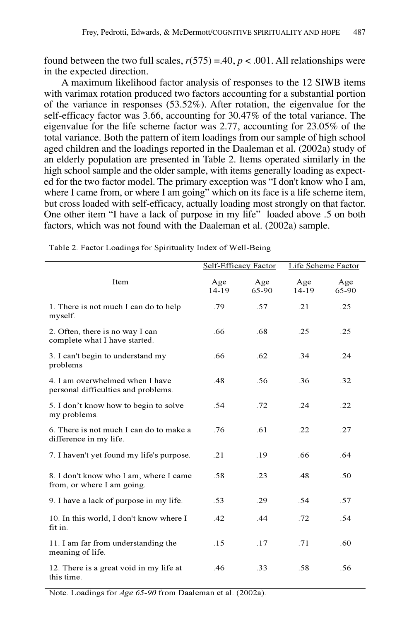found between the two full scales,  $r(575) = .40$ ,  $p < .001$ . All relationships were in the expected direction.

A maximum likelihood factor analysis of responses to the 12 SIWB items with varimax rotation produced two factors accounting for a substantial portion of the variance in responses (53.52%). After rotation, the eigenvalue for the self-efficacy factor was 3.66, accounting for 30.47% of the total variance. The eigenvalue for the life scheme factor was 2.77, accounting for 23.05% of the total variance. Both the pattern of item loadings from our sample of high school aged children and the loadings reported in the Daaleman et al. (2002a) study of an elderly population are presented in Table 2. Items operated similarly in the high school sample and the older sample, with items generally loading as expected for the two factor model. The primary exception was "I don't know who I am, where I came from, or where I am going" which on its face is a life scheme item, but cross loaded with self-efficacy, actually loading most strongly on that factor. One other item "I have a lack of purpose in my life" loaded above .5 on both factors, which was not found with the Daaleman et al. (2002a) sample.

|                                                                        | Self-Efficacy Factor |              | Life Scheme Factor |              |
|------------------------------------------------------------------------|----------------------|--------------|--------------------|--------------|
| Item                                                                   | Age<br>14-19         | Age<br>65-90 | Age<br>14-19       | Age<br>65-90 |
| 1. There is not much I can do to help<br>myself.                       | .79                  | .57          | .21                | .25          |
| 2. Often, there is no way I can<br>complete what I have started.       | .66                  | .68          | .25                | .25          |
| 3. I can't begin to understand my<br>problems                          | .66                  | .62          | .34                | .24          |
| 4. I am overwhelmed when I have<br>personal difficulties and problems. | .48                  | .56          | .36                | .32          |
| 5. I don't know how to begin to solve<br>my problems.                  | .54                  | .72          | .24                | .22          |
| 6. There is not much I can do to make a<br>difference in my life.      | .76                  | .61          | .22                | .27          |
| 7. I haven't yet found my life's purpose.                              | .21                  | .19          | .66                | .64          |
| 8. I don't know who I am, where I came<br>from, or where I am going.   | .58                  | .23          | .48                | .50          |
| 9. I have a lack of purpose in my life.                                | .53                  | .29          | .54                | .57          |
| 10. In this world, I don't know where I<br>fit in.                     | .42                  | .44          | .72                | .54          |
| 11. I am far from understanding the<br>meaning of life.                | .15                  | .17          | .71                | .60          |
| 12. There is a great void in my life at<br>this time.                  | .46                  | .33          | .58                | .56          |

Table 2. Factor Loadings for Spirituality Index of Well-Being

Note. Loadings for *Age 65-90* from Daaleman et al. (2002a).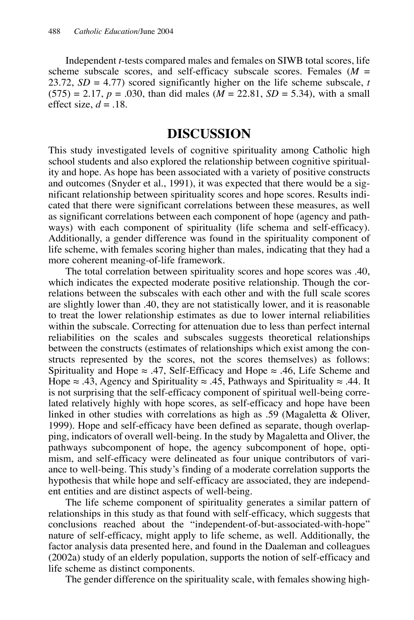Independent *t*-tests compared males and females on SIWB total scores, life scheme subscale scores, and self-efficacy subscale scores. Females (*M* = 23.72,  $SD = 4.77$ ) scored significantly higher on the life scheme subscale, *t*  $(575) = 2.17$ ,  $p = .030$ , than did males  $(M = 22.81, SD = 5.34)$ , with a small effect size,  $d = .18$ .

#### **DISCUSSION**

This study investigated levels of cognitive spirituality among Catholic high school students and also explored the relationship between cognitive spirituality and hope. As hope has been associated with a variety of positive constructs and outcomes (Snyder et al., 1991), it was expected that there would be a significant relationship between spirituality scores and hope scores. Results indicated that there were significant correlations between these measures, as well as significant correlations between each component of hope (agency and pathways) with each component of spirituality (life schema and self-efficacy). Additionally, a gender difference was found in the spirituality component of life scheme, with females scoring higher than males, indicating that they had a more coherent meaning-of-life framework.

The total correlation between spirituality scores and hope scores was .40, which indicates the expected moderate positive relationship. Though the correlations between the subscales with each other and with the full scale scores are slightly lower than .40, they are not statistically lower, and it is reasonable to treat the lower relationship estimates as due to lower internal reliabilities within the subscale. Correcting for attenuation due to less than perfect internal reliabilities on the scales and subscales suggests theoretical relationships between the constructs (estimates of relationships which exist among the constructs represented by the scores, not the scores themselves) as follows: Spirituality and Hope  $\approx$  .47, Self-Efficacy and Hope  $\approx$  .46, Life Scheme and Hope  $\approx$  .43, Agency and Spirituality  $\approx$  .45, Pathways and Spirituality  $\approx$  .44. It is not surprising that the self-efficacy component of spiritual well-being correlated relatively highly with hope scores, as self-efficacy and hope have been linked in other studies with correlations as high as .59 (Magaletta & Oliver, 1999). Hope and self-efficacy have been defined as separate, though overlapping, indicators of overall well-being. In the study by Magaletta and Oliver, the pathways subcomponent of hope, the agency subcomponent of hope, optimism, and self-efficacy were delineated as four unique contributors of variance to well-being. This study's finding of a moderate correlation supports the hypothesis that while hope and self-efficacy are associated, they are independent entities and are distinct aspects of well-being.

The life scheme component of spirituality generates a similar pattern of relationships in this study as that found with self-efficacy, which suggests that conclusions reached about the "independent-of-but-associated-with-hope" nature of self-efficacy, might apply to life scheme, as well. Additionally, the factor analysis data presented here, and found in the Daaleman and colleagues (2002a) study of an elderly population, supports the notion of self-efficacy and life scheme as distinct components.

The gender difference on the spirituality scale, with females showing high-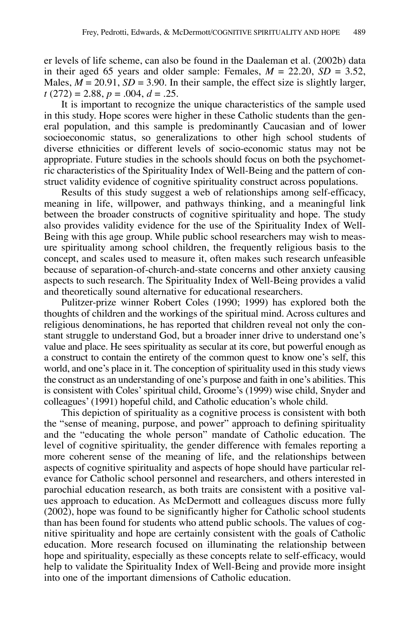er levels of life scheme, can also be found in the Daaleman et al. (2002b) data in their aged 65 years and older sample: Females,  $M = 22.20$ ,  $SD = 3.52$ , Males,  $M = 20.91$ ,  $SD = 3.90$ . In their sample, the effect size is slightly larger, *t* (272) = 2.88, *p* = .004, *d* = .25.

It is important to recognize the unique characteristics of the sample used in this study. Hope scores were higher in these Catholic students than the general population, and this sample is predominantly Caucasian and of lower socioeconomic status, so generalizations to other high school students of diverse ethnicities or different levels of socio-economic status may not be appropriate. Future studies in the schools should focus on both the psychometric characteristics of the Spirituality Index of Well-Being and the pattern of construct validity evidence of cognitive spirituality construct across populations.

Results of this study suggest a web of relationships among self-efficacy, meaning in life, willpower, and pathways thinking, and a meaningful link between the broader constructs of cognitive spirituality and hope. The study also provides validity evidence for the use of the Spirituality Index of Well-Being with this age group. While public school researchers may wish to measure spirituality among school children, the frequently religious basis to the concept, and scales used to measure it, often makes such research unfeasible because of separation-of-church-and-state concerns and other anxiety causing aspects to such research. The Spirituality Index of Well-Being provides a valid and theoretically sound alternative for educational researchers.

Pulitzer-prize winner Robert Coles (1990; 1999) has explored both the thoughts of children and the workings of the spiritual mind. Across cultures and religious denominations, he has reported that children reveal not only the constant struggle to understand God, but a broader inner drive to understand one's value and place. He sees spirituality as secular at its core, but powerful enough as a construct to contain the entirety of the common quest to know one's self, this world, and one's place in it. The conception of spirituality used in this study views the construct as an understanding of one's purpose and faith in one's abilities. This is consistent with Coles' spiritual child, Groome's (1999) wise child, Snyder and colleagues' (1991) hopeful child, and Catholic education's whole child.

This depiction of spirituality as a cognitive process is consistent with both the "sense of meaning, purpose, and power" approach to defining spirituality and the "educating the whole person" mandate of Catholic education. The level of cognitive spirituality, the gender difference with females reporting a more coherent sense of the meaning of life, and the relationships between aspects of cognitive spirituality and aspects of hope should have particular relevance for Catholic school personnel and researchers, and others interested in parochial education research, as both traits are consistent with a positive values approach to education. As McDermott and colleagues discuss more fully (2002), hope was found to be significantly higher for Catholic school students than has been found for students who attend public schools. The values of cognitive spirituality and hope are certainly consistent with the goals of Catholic education. More research focused on illuminating the relationship between hope and spirituality, especially as these concepts relate to self-efficacy, would help to validate the Spirituality Index of Well-Being and provide more insight into one of the important dimensions of Catholic education.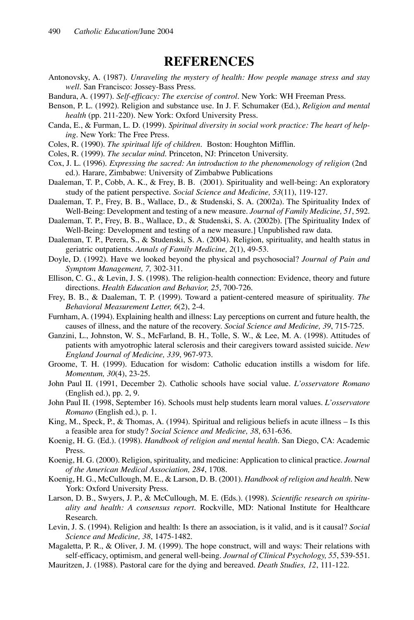#### **REFERENCES**

- Antonovsky, A. (1987). *Unraveling the mystery of health: How people manage stress and stay well*. San Francisco: Jossey-Bass Press.
- Bandura, A. (1997). *Self-efficacy: The exercise of control*. New York: WH Freeman Press.
- Benson, P. L. (1992). Religion and substance use. In J. F. Schumaker (Ed.), *Religion and mental health* (pp. 211-220). New York: Oxford University Press.
- Canda, E., & Furman, L. D. (1999). *Spiritual diversity in social work practice: The heart of helping*. New York: The Free Press.
- Coles, R. (1990). *The spiritual life of children*. Boston: Houghton Mifflin.
- Coles, R. (1999). *The secular mind*. Princeton, NJ: Princeton University.
- Cox, J. L. (1996). *Expressing the sacred: An introduction to the phenomenology of religion* (2nd ed.). Harare, Zimbabwe: University of Zimbabwe Publications
- Daaleman, T. P., Cobb, A. K., & Frey, B. B. (2001). Spirituality and well-being: An exploratory study of the patient perspective. *Social Science and Medicine, 53*(11), 119-127.
- Daaleman, T. P., Frey, B. B., Wallace, D., & Studenski, S. A. (2002a). The Spirituality Index of Well-Being: Development and testing of a new measure. *Journal of Family Medicine, 51*, 592.
- Daaleman, T. P., Frey, B. B., Wallace, D., & Studenski, S. A. (2002b). [The Spirituality Index of Well-Being: Development and testing of a new measure.] Unpublished raw data.
- Daaleman, T. P., Perera, S., & Studenski, S. A. (2004). Religion, spirituality, and health status in geriatric outpatients. *Annals of Family Medicine, 2*(1), 49-53.
- Doyle, D. (1992). Have we looked beyond the physical and psychosocial? *Journal of Pain and Symptom Management, 7,* 302-311.
- Ellison, C. G., & Levin, J. S. (1998). The religion-health connection: Evidence, theory and future directions. *Health Education and Behavior, 25*, 700-726.
- Frey, B. B., & Daaleman, T. P. (1999). Toward a patient-centered measure of spirituality. *The Behavioral Measurement Letter, 6*(2), 2-4.
- Furnham, A. (1994). Explaining health and illness: Lay perceptions on current and future health, the causes of illness, and the nature of the recovery. *Social Science and Medicine, 39*, 715-725.
- Ganzini, L., Johnston, W. S., McFarland, B. H., Tolle, S. W., & Lee, M. A. (1998). Attitudes of patients with amyotrophic lateral sclerosis and their caregivers toward assisted suicide. *New England Journal of Medicine, 339*, 967-973.
- Groome, T. H. (1999). Education for wisdom: Catholic education instills a wisdom for life. *Momentum, 30*(4), 23-25.
- John Paul II. (1991, December 2). Catholic schools have social value. *L'osservatore Romano* (English ed.), pp. 2, 9.
- John Paul II. (1998, September 16). Schools must help students learn moral values. *L'osservatore Romano* (English ed.), p. 1.
- King, M., Speck, P., & Thomas, A. (1994). Spiritual and religious beliefs in acute illness Is this a feasible area for study? *Social Science and Medicine, 38*, 631-636.
- Koenig, H. G. (Ed.). (1998). *Handbook of religion and mental health*. San Diego, CA: Academic Press.
- Koenig, H. G. (2000). Religion, spirituality, and medicine: Application to clinical practice. *Journal of the American Medical Association, 284*, 1708.
- Koenig, H. G., McCullough, M. E., & Larson, D. B. (2001). *Handbook of religion and health*. New York: Oxford University Press.
- Larson, D. B., Swyers, J. P., & McCullough, M. E. (Eds.). (1998). *Scientific research on spirituality and health: A consensus report*. Rockville, MD: National Institute for Healthcare Research.
- Levin, J. S. (1994). Religion and health: Is there an association, is it valid, and is it causal? *Social Science and Medicine, 38*, 1475-1482.
- Magaletta, P. R., & Oliver, J. M. (1999). The hope construct, will and ways: Their relations with self-efficacy, optimism, and general well-being. *Journal of Clinical Psychology, 55*, 539-551.
- Mauritzen, J. (1988). Pastoral care for the dying and bereaved. *Death Studies, 12*, 111-122.